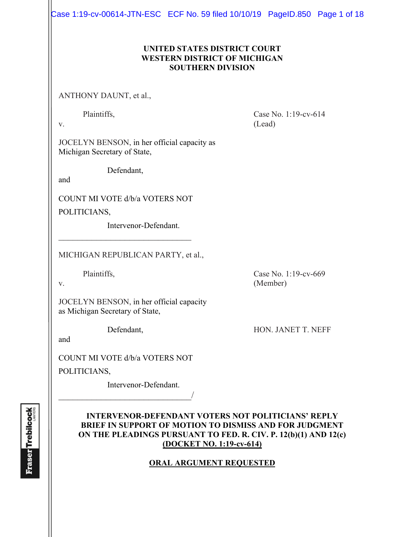Case 1:19-cv-00614-JTN-ESC ECF No. 59 filed 10/10/19 PageID.850 Page 1 of 18

## **UNITED STATES DISTRICT COURT WESTERN DISTRICT OF MICHIGAN SOUTHERN DIVISION**

ANTHONY DAUNT, et al.,

Plaintiffs, Case No. 1:19-cv-614 v. (Lead)

JOCELYN BENSON, in her official capacity as Michigan Secretary of State,

Defendant,

and

COUNT MI VOTE d/b/a VOTERS NOT

 $\mathcal{L}_\text{max}$  , where  $\mathcal{L}_\text{max}$  and  $\mathcal{L}_\text{max}$ 

POLITICIANS,

Intervenor-Defendant.

MICHIGAN REPUBLICAN PARTY, et al.,

Plaintiffs, Case No. 1:19-cv-669

v. (Member)

JOCELYN BENSON, in her official capacity as Michigan Secretary of State,

Defendant, HON. JANET T. NEFF

and

COUNT MI VOTE d/b/a VOTERS NOT

 $\overline{\phantom{a}}$ 

POLITICIANS,

Intervenor-Defendant.

## **INTERVENOR-DEFENDANT VOTERS NOT POLITICIANS' REPLY BRIEF IN SUPPORT OF MOTION TO DISMISS AND FOR JUDGMENT ON THE PLEADINGS PURSUANT TO FED. R. CIV. P. 12(b)(1) AND 12(c) (DOCKET NO. 1:19-cv-614)**

## **ORAL ARGUMENT REQUESTED**

**Fraser Trebilcock**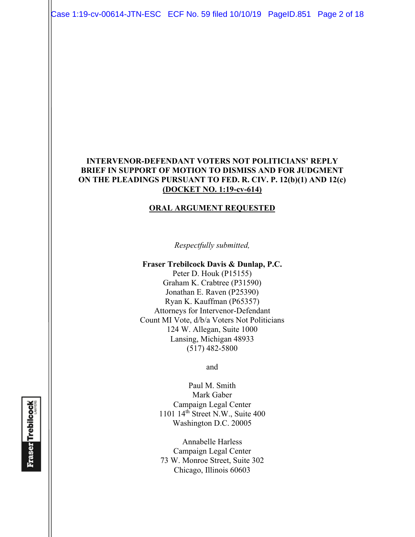Case 1:19-cv-00614-JTN-ESC ECF No. 59 filed 10/10/19 PageID.851 Page 2 of 18

## **INTERVENOR-DEFENDANT VOTERS NOT POLITICIANS' REPLY BRIEF IN SUPPORT OF MOTION TO DISMISS AND FOR JUDGMENT ON THE PLEADINGS PURSUANT TO FED. R. CIV. P. 12(b)(1) AND 12(c) (DOCKET NO. 1:19-cv-614)**

#### **ORAL ARGUMENT REQUESTED**

*Respectfully submitted,* 

#### **Fraser Trebilcock Davis & Dunlap, P.C.**

Peter D. Houk (P15155) Graham K. Crabtree (P31590) Jonathan E. Raven (P25390) Ryan K. Kauffman (P65357) Attorneys for Intervenor-Defendant Count MI Vote, d/b/a Voters Not Politicians 124 W. Allegan, Suite 1000 Lansing, Michigan 48933 (517) 482-5800

and

Paul M. Smith Mark Gaber Campaign Legal Center 1101 14th Street N.W., Suite 400 Washington D.C. 20005

Annabelle Harless Campaign Legal Center 73 W. Monroe Street, Suite 302 Chicago, Illinois 60603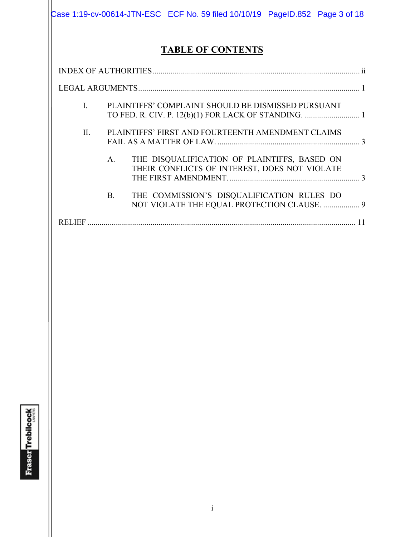|                |                |  |                          |                                                                                               | Case 1:19-cv-00614-JTN-ESC ECF No. 59 filed 10/10/19 PageID.852 Page 3 of 18 |
|----------------|----------------|--|--------------------------|-----------------------------------------------------------------------------------------------|------------------------------------------------------------------------------|
|                |                |  | <b>TABLE OF CONTENTS</b> |                                                                                               |                                                                              |
|                |                |  |                          |                                                                                               |                                                                              |
|                |                |  |                          |                                                                                               |                                                                              |
| $\mathbf{I}$ . |                |  |                          | PLAINTIFFS' COMPLAINT SHOULD BE DISMISSED PURSUANT                                            |                                                                              |
| II.            |                |  |                          | PLAINTIFFS' FIRST AND FOURTEENTH AMENDMENT CLAIMS                                             |                                                                              |
|                | $\mathsf{A}$ . |  |                          | THE DISQUALIFICATION OF PLAINTIFFS, BASED ON<br>THEIR CONFLICTS OF INTEREST, DOES NOT VIOLATE |                                                                              |
|                | <b>B.</b>      |  |                          | THE COMMISSION'S DISQUALIFICATION RULES DO                                                    | NOT VIOLATE THE EQUAL PROTECTION CLAUSE.  9                                  |
|                |                |  |                          |                                                                                               |                                                                              |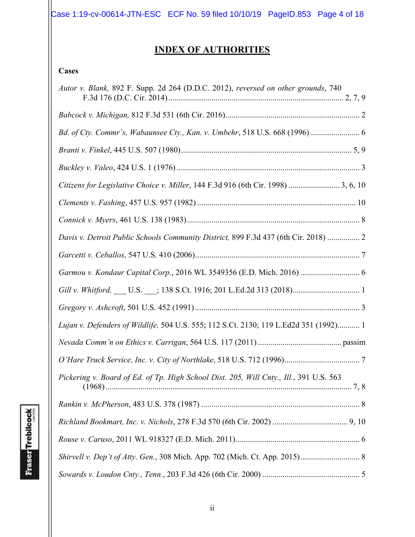Case 1:19-cv-00614-JTN-ESC ECF No. 59 filed 10/10/19 PageID.853 Page 4 of 18

# **INDEX OF AUTHORITIES**

## **Cases**

| Autor v. Blank, 892 F. Supp. 2d 264 (D.D.C. 2012), reversed on other grounds, 740      |
|----------------------------------------------------------------------------------------|
|                                                                                        |
|                                                                                        |
|                                                                                        |
|                                                                                        |
| Citizens for Legislative Choice v. Miller, 144 F.3d 916 (6th Cir. 1998)  3, 6, 10      |
|                                                                                        |
|                                                                                        |
| Davis v. Detroit Public Schools Community District, 899 F.3d 437 (6th Cir. 2018)  2    |
|                                                                                        |
| Garmou v. Kondaur Capital Corp., 2016 WL 3549356 (E.D. Mich. 2016)  6                  |
|                                                                                        |
|                                                                                        |
| Lujan v. Defenders of Wildlife, 504 U.S. 555; 112 S.Ct. 2130; 119 L.Ed2d 351 (1992) 1  |
|                                                                                        |
|                                                                                        |
| Pickering v. Board of Ed. of Tp. High School Dist. 205, Will Cnty., Ill., 391 U.S. 563 |
|                                                                                        |
|                                                                                        |
|                                                                                        |
|                                                                                        |
|                                                                                        |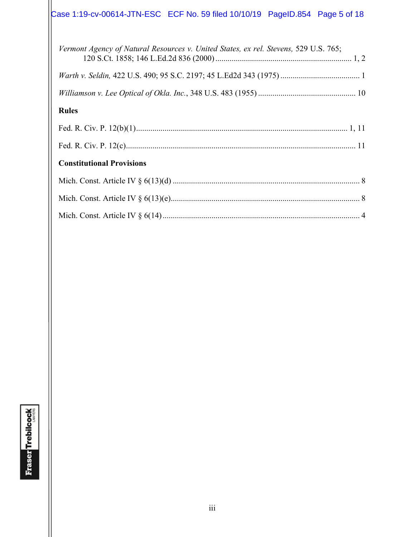# Case 1:19-cv-00614-JTN-ESC ECF No. 59 filed 10/10/19 PageID.854 Page 5 of 18

| Vermont Agency of Natural Resources v. United States, ex rel. Stevens, 529 U.S. 765; |
|--------------------------------------------------------------------------------------|
|                                                                                      |
|                                                                                      |
| <b>Rules</b>                                                                         |
|                                                                                      |
|                                                                                      |
| <b>Constitutional Provisions</b>                                                     |
|                                                                                      |
|                                                                                      |
|                                                                                      |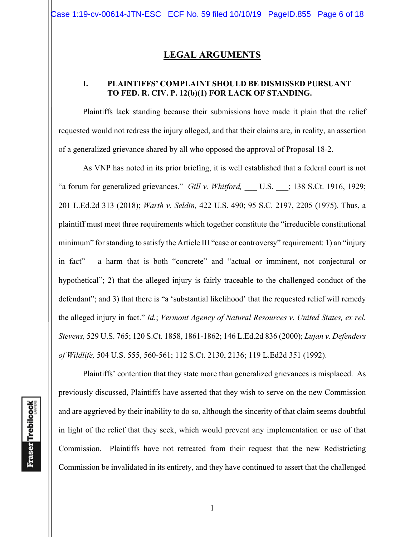## **LEGAL ARGUMENTS**

## **I. PLAINTIFFS' COMPLAINT SHOULD BE DISMISSED PURSUANT TO FED. R. CIV. P. 12(b)(1) FOR LACK OF STANDING.**

Plaintiffs lack standing because their submissions have made it plain that the relief requested would not redress the injury alleged, and that their claims are, in reality, an assertion of a generalized grievance shared by all who opposed the approval of Proposal 18-2.

As VNP has noted in its prior briefing, it is well established that a federal court is not "a forum for generalized grievances." *Gill v. Whitford*, U.S. ; 138 S.Ct. 1916, 1929; 201 L.Ed.2d 313 (2018); *Warth v. Seldin,* 422 U.S. 490; 95 S.C. 2197, 2205 (1975). Thus, a plaintiff must meet three requirements which together constitute the "irreducible constitutional minimum" for standing to satisfy the Article III "case or controversy" requirement: 1) an "injury in fact" – a harm that is both "concrete" and "actual or imminent, not conjectural or hypothetical"; 2) that the alleged injury is fairly traceable to the challenged conduct of the defendant"; and 3) that there is "a 'substantial likelihood' that the requested relief will remedy the alleged injury in fact." *Id.*; *Vermont Agency of Natural Resources v. United States, ex rel. Stevens,* 529 U.S. 765; 120 S.Ct. 1858, 1861-1862; 146 L.Ed.2d 836 (2000); *Lujan v. Defenders of Wildlife,* 504 U.S. 555, 560-561; 112 S.Ct. 2130, 2136; 119 L.Ed2d 351 (1992).

**Fraser** Trebilcock

Plaintiffs' contention that they state more than generalized grievances is misplaced. As previously discussed, Plaintiffs have asserted that they wish to serve on the new Commission and are aggrieved by their inability to do so, although the sincerity of that claim seems doubtful in light of the relief that they seek, which would prevent any implementation or use of that Commission. Plaintiffs have not retreated from their request that the new Redistricting Commission be invalidated in its entirety, and they have continued to assert that the challenged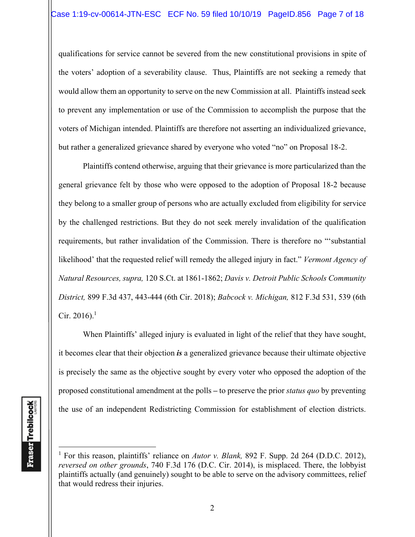qualifications for service cannot be severed from the new constitutional provisions in spite of the voters' adoption of a severability clause. Thus, Plaintiffs are not seeking a remedy that would allow them an opportunity to serve on the new Commission at all. Plaintiffs instead seek to prevent any implementation or use of the Commission to accomplish the purpose that the voters of Michigan intended. Plaintiffs are therefore not asserting an individualized grievance, but rather a generalized grievance shared by everyone who voted "no" on Proposal 18-2.

Plaintiffs contend otherwise, arguing that their grievance is more particularized than the general grievance felt by those who were opposed to the adoption of Proposal 18-2 because they belong to a smaller group of persons who are actually excluded from eligibility for service by the challenged restrictions. But they do not seek merely invalidation of the qualification requirements, but rather invalidation of the Commission. There is therefore no "'substantial likelihood' that the requested relief will remedy the alleged injury in fact." *Vermont Agency of Natural Resources, supra,* 120 S.Ct. at 1861-1862; *Davis v. Detroit Public Schools Community District,* 899 F.3d 437, 443-444 (6th Cir. 2018); *Babcock v. Michigan,* 812 F.3d 531, 539 (6th Cir. 2016).<sup>1</sup>

When Plaintiffs' alleged injury is evaluated in light of the relief that they have sought, it becomes clear that their objection *is* a generalized grievance because their ultimate objective is precisely the same as the objective sought by every voter who opposed the adoption of the proposed constitutional amendment at the polls **–** to preserve the prior *status quo* by preventing the use of an independent Redistricting Commission for establishment of election districts.

<sup>&</sup>lt;sup>1</sup> For this reason, plaintiffs' reliance on *Autor v. Blank*, 892 F. Supp. 2d 264 (D.D.C. 2012), *reversed on other grounds*, 740 F.3d 176 (D.C. Cir. 2014), is misplaced. There, the lobbyist plaintiffs actually (and genuinely) sought to be able to serve on the advisory committees, relief that would redress their injuries.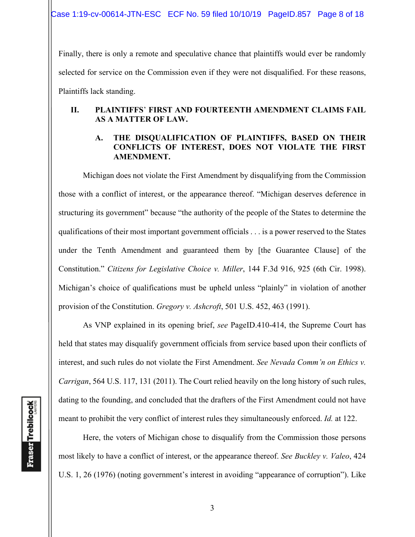Finally, there is only a remote and speculative chance that plaintiffs would ever be randomly selected for service on the Commission even if they were not disqualified. For these reasons, Plaintiffs lack standing.

## **II. PLAINTIFFS**' **FIRST AND FOURTEENTH AMENDMENT CLAIMS FAIL AS A MATTER OF LAW.**

## **A. THE DISQUALIFICATION OF PLAINTIFFS, BASED ON THEIR CONFLICTS OF INTEREST, DOES NOT VIOLATE THE FIRST AMENDMENT.**

Michigan does not violate the First Amendment by disqualifying from the Commission those with a conflict of interest, or the appearance thereof. "Michigan deserves deference in structuring its government" because "the authority of the people of the States to determine the qualifications of their most important government officials . . . is a power reserved to the States under the Tenth Amendment and guaranteed them by [the Guarantee Clause] of the Constitution." *Citizens for Legislative Choice v. Miller*, 144 F.3d 916, 925 (6th Cir. 1998). Michigan's choice of qualifications must be upheld unless "plainly" in violation of another provision of the Constitution. *Gregory v. Ashcroft*, 501 U.S. 452, 463 (1991).

 As VNP explained in its opening brief, *see* PageID.410-414, the Supreme Court has held that states may disqualify government officials from service based upon their conflicts of interest, and such rules do not violate the First Amendment. *See Nevada Comm'n on Ethics v. Carrigan*, 564 U.S. 117, 131 (2011). The Court relied heavily on the long history of such rules, dating to the founding, and concluded that the drafters of the First Amendment could not have meant to prohibit the very conflict of interest rules they simultaneously enforced. *Id.* at 122.

 Here, the voters of Michigan chose to disqualify from the Commission those persons most likely to have a conflict of interest, or the appearance thereof. *See Buckley v. Valeo*, 424 U.S. 1, 26 (1976) (noting government's interest in avoiding "appearance of corruption"). Like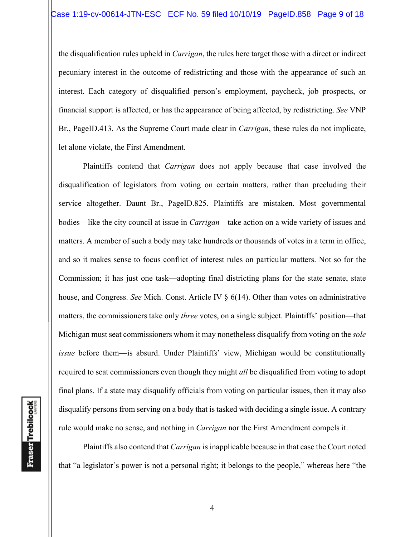the disqualification rules upheld in *Carrigan*, the rules here target those with a direct or indirect pecuniary interest in the outcome of redistricting and those with the appearance of such an interest. Each category of disqualified person's employment, paycheck, job prospects, or financial support is affected, or has the appearance of being affected, by redistricting. *See* VNP Br., PageID.413. As the Supreme Court made clear in *Carrigan*, these rules do not implicate, let alone violate, the First Amendment.

 Plaintiffs contend that *Carrigan* does not apply because that case involved the disqualification of legislators from voting on certain matters, rather than precluding their service altogether. Daunt Br., PageID.825. Plaintiffs are mistaken. Most governmental bodies—like the city council at issue in *Carrigan*—take action on a wide variety of issues and matters. A member of such a body may take hundreds or thousands of votes in a term in office, and so it makes sense to focus conflict of interest rules on particular matters. Not so for the Commission; it has just one task—adopting final districting plans for the state senate, state house, and Congress. *See* Mich. Const. Article IV § 6(14). Other than votes on administrative matters, the commissioners take only *three* votes, on a single subject. Plaintiffs' position—that Michigan must seat commissioners whom it may nonetheless disqualify from voting on the *sole issue* before them—is absurd. Under Plaintiffs' view, Michigan would be constitutionally required to seat commissioners even though they might *all* be disqualified from voting to adopt final plans. If a state may disqualify officials from voting on particular issues, then it may also disqualify persons from serving on a body that is tasked with deciding a single issue. A contrary rule would make no sense, and nothing in *Carrigan* nor the First Amendment compels it.

 Plaintiffs also contend that *Carrigan* is inapplicable because in that case the Court noted that "a legislator's power is not a personal right; it belongs to the people," whereas here "the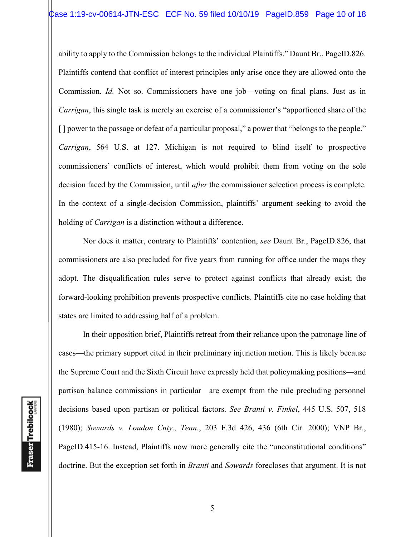ability to apply to the Commission belongs to the individual Plaintiffs." Daunt Br., PageID.826. Plaintiffs contend that conflict of interest principles only arise once they are allowed onto the Commission. *Id.* Not so. Commissioners have one job—voting on final plans. Just as in *Carrigan*, this single task is merely an exercise of a commissioner's "apportioned share of the [] power to the passage or defeat of a particular proposal," a power that "belongs to the people." *Carrigan*, 564 U.S. at 127. Michigan is not required to blind itself to prospective commissioners' conflicts of interest, which would prohibit them from voting on the sole decision faced by the Commission, until *after* the commissioner selection process is complete. In the context of a single-decision Commission, plaintiffs' argument seeking to avoid the holding of *Carrigan* is a distinction without a difference.

 Nor does it matter, contrary to Plaintiffs' contention, *see* Daunt Br., PageID.826, that commissioners are also precluded for five years from running for office under the maps they adopt. The disqualification rules serve to protect against conflicts that already exist; the forward-looking prohibition prevents prospective conflicts. Plaintiffs cite no case holding that states are limited to addressing half of a problem.

 In their opposition brief, Plaintiffs retreat from their reliance upon the patronage line of cases—the primary support cited in their preliminary injunction motion. This is likely because the Supreme Court and the Sixth Circuit have expressly held that policymaking positions—and partisan balance commissions in particular—are exempt from the rule precluding personnel decisions based upon partisan or political factors. *See Branti v. Finkel*, 445 U.S. 507, 518 (1980); *Sowards v. Loudon Cnty., Tenn.*, 203 F.3d 426, 436 (6th Cir. 2000); VNP Br., PageID.415-16. Instead, Plaintiffs now more generally cite the "unconstitutional conditions" doctrine. But the exception set forth in *Branti* and *Sowards* forecloses that argument. It is not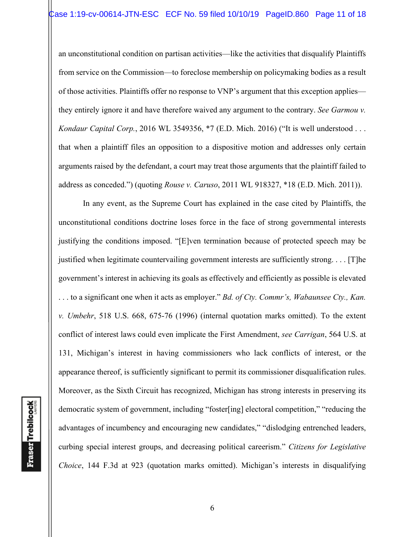an unconstitutional condition on partisan activities—like the activities that disqualify Plaintiffs from service on the Commission—to foreclose membership on policymaking bodies as a result of those activities. Plaintiffs offer no response to VNP's argument that this exception applies they entirely ignore it and have therefore waived any argument to the contrary. *See Garmou v. Kondaur Capital Corp.*, 2016 WL 3549356, \*7 (E.D. Mich. 2016) ("It is well understood . . . that when a plaintiff files an opposition to a dispositive motion and addresses only certain arguments raised by the defendant, a court may treat those arguments that the plaintiff failed to address as conceded.") (quoting *Rouse v. Caruso*, 2011 WL 918327, \*18 (E.D. Mich. 2011)).

In any event, as the Supreme Court has explained in the case cited by Plaintiffs, the unconstitutional conditions doctrine loses force in the face of strong governmental interests justifying the conditions imposed. "[E]ven termination because of protected speech may be justified when legitimate countervailing government interests are sufficiently strong. . . . [T]he government's interest in achieving its goals as effectively and efficiently as possible is elevated . . . to a significant one when it acts as employer." *Bd. of Cty. Commr's, Wabaunsee Cty., Kan. v. Umbehr*, 518 U.S. 668, 675-76 (1996) (internal quotation marks omitted). To the extent conflict of interest laws could even implicate the First Amendment, *see Carrigan*, 564 U.S. at 131, Michigan's interest in having commissioners who lack conflicts of interest, or the appearance thereof, is sufficiently significant to permit its commissioner disqualification rules. Moreover, as the Sixth Circuit has recognized, Michigan has strong interests in preserving its democratic system of government, including "foster[ing] electoral competition," "reducing the advantages of incumbency and encouraging new candidates," "dislodging entrenched leaders, curbing special interest groups, and decreasing political careerism." *Citizens for Legislative Choice*, 144 F.3d at 923 (quotation marks omitted). Michigan's interests in disqualifying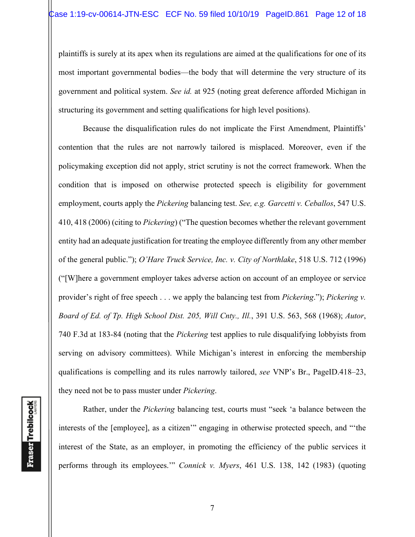plaintiffs is surely at its apex when its regulations are aimed at the qualifications for one of its most important governmental bodies—the body that will determine the very structure of its government and political system. *See id.* at 925 (noting great deference afforded Michigan in structuring its government and setting qualifications for high level positions).

Because the disqualification rules do not implicate the First Amendment, Plaintiffs' contention that the rules are not narrowly tailored is misplaced. Moreover, even if the policymaking exception did not apply, strict scrutiny is not the correct framework. When the condition that is imposed on otherwise protected speech is eligibility for government employment, courts apply the *Pickering* balancing test. *See, e.g. Garcetti v. Ceballos*, 547 U.S. 410, 418 (2006) (citing to *Pickering*) ("The question becomes whether the relevant government entity had an adequate justification for treating the employee differently from any other member of the general public."); *O'Hare Truck Service, Inc. v. City of Northlake*, 518 U.S. 712 (1996) ("[W]here a government employer takes adverse action on account of an employee or service provider's right of free speech . . . we apply the balancing test from *Pickering*."); *Pickering v. Board of Ed. of Tp. High School Dist. 205, Will Cnty., Ill.*, 391 U.S. 563, 568 (1968); *Autor*, 740 F.3d at 183-84 (noting that the *Pickering* test applies to rule disqualifying lobbyists from serving on advisory committees). While Michigan's interest in enforcing the membership qualifications is compelling and its rules narrowly tailored, *see* VNP's Br., PageID.418–23, they need not be to pass muster under *Pickering*.

Rather, under the *Pickering* balancing test, courts must "seek 'a balance between the interests of the [employee], as a citizen'" engaging in otherwise protected speech, and "'the interest of the State, as an employer, in promoting the efficiency of the public services it performs through its employees.'" *Connick v. Myers*, 461 U.S. 138, 142 (1983) (quoting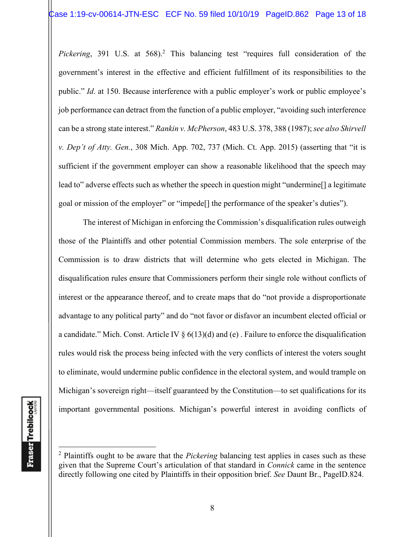Pickering, 391 U.S. at 568).<sup>2</sup> This balancing test "requires full consideration of the government's interest in the effective and efficient fulfillment of its responsibilities to the public." *Id*. at 150. Because interference with a public employer's work or public employee's job performance can detract from the function of a public employer, "avoiding such interference can be a strong state interest." *Rankin v. McPherson*, 483 U.S. 378, 388 (1987); *see also Shirvell v. Dep't of Atty. Gen.*, 308 Mich. App. 702, 737 (Mich. Ct. App. 2015) (asserting that "it is sufficient if the government employer can show a reasonable likelihood that the speech may lead to" adverse effects such as whether the speech in question might "undermine<sup>[]</sup> a legitimate goal or mission of the employer" or "impede[] the performance of the speaker's duties").

 The interest of Michigan in enforcing the Commission's disqualification rules outweigh those of the Plaintiffs and other potential Commission members. The sole enterprise of the Commission is to draw districts that will determine who gets elected in Michigan. The disqualification rules ensure that Commissioners perform their single role without conflicts of interest or the appearance thereof, and to create maps that do "not provide a disproportionate advantage to any political party" and do "not favor or disfavor an incumbent elected official or a candidate." Mich. Const. Article IV  $\S 6(13)(d)$  and (e). Failure to enforce the disqualification rules would risk the process being infected with the very conflicts of interest the voters sought to eliminate, would undermine public confidence in the electoral system, and would trample on Michigan's sovereign right—itself guaranteed by the Constitution—to set qualifications for its important governmental positions. Michigan's powerful interest in avoiding conflicts of

<sup>2</sup> Plaintiffs ought to be aware that the *Pickering* balancing test applies in cases such as these given that the Supreme Court's articulation of that standard in *Connick* came in the sentence directly following one cited by Plaintiffs in their opposition brief. *See* Daunt Br., PageID.824.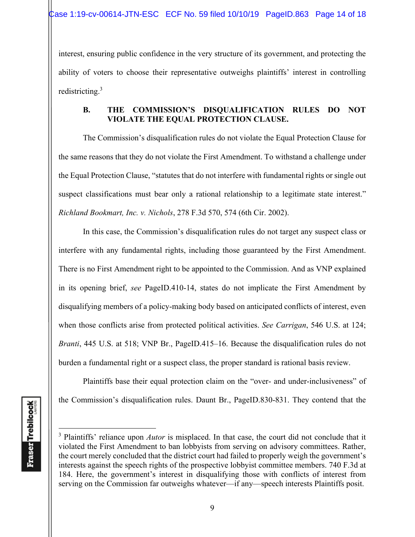interest, ensuring public confidence in the very structure of its government, and protecting the ability of voters to choose their representative outweighs plaintiffs' interest in controlling redistricting.3

## **B. THE COMMISSION'S DISQUALIFICATION RULES DO NOT VIOLATE THE EQUAL PROTECTION CLAUSE.**

The Commission's disqualification rules do not violate the Equal Protection Clause for the same reasons that they do not violate the First Amendment. To withstand a challenge under the Equal Protection Clause, "statutes that do not interfere with fundamental rights or single out suspect classifications must bear only a rational relationship to a legitimate state interest." *Richland Bookmart, Inc. v. Nichols*, 278 F.3d 570, 574 (6th Cir. 2002).

 In this case, the Commission's disqualification rules do not target any suspect class or interfere with any fundamental rights, including those guaranteed by the First Amendment. There is no First Amendment right to be appointed to the Commission. And as VNP explained in its opening brief, *see* PageID.410-14, states do not implicate the First Amendment by disqualifying members of a policy-making body based on anticipated conflicts of interest, even when those conflicts arise from protected political activities. *See Carrigan*, 546 U.S. at 124; *Branti*, 445 U.S. at 518; VNP Br., PageID.415–16. Because the disqualification rules do not burden a fundamental right or a suspect class, the proper standard is rational basis review.

Plaintiffs base their equal protection claim on the "over- and under-inclusiveness" of the Commission's disqualification rules. Daunt Br., PageID.830-831. They contend that the

<sup>&</sup>lt;sup>3</sup> Plaintiffs' reliance upon *Autor* is misplaced. In that case, the court did not conclude that it violated the First Amendment to ban lobbyists from serving on advisory committees. Rather, the court merely concluded that the district court had failed to properly weigh the government's interests against the speech rights of the prospective lobbyist committee members. 740 F.3d at 184. Here, the government's interest in disqualifying those with conflicts of interest from serving on the Commission far outweighs whatever—if any—speech interests Plaintiffs posit.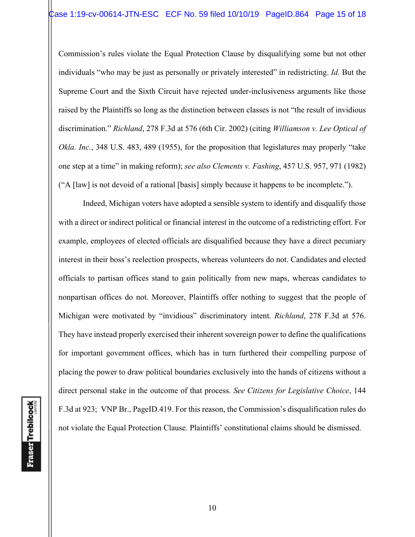Commission's rules violate the Equal Protection Clause by disqualifying some but not other individuals "who may be just as personally or privately interested" in redistricting. *Id.* But the Supreme Court and the Sixth Circuit have rejected under-inclusiveness arguments like those raised by the Plaintiffs so long as the distinction between classes is not "the result of invidious discrimination." *Richland*, 278 F.3d at 576 (6th Cir. 2002) (citing *Williamson v. Lee Optical of Okla. Inc.*, 348 U.S. 483, 489 (1955), for the proposition that legislatures may properly "take one step at a time" in making reform); *see also Clements v. Fashing*, 457 U.S. 957, 971 (1982) ("A [law] is not devoid of a rational [basis] simply because it happens to be incomplete.").

Indeed, Michigan voters have adopted a sensible system to identify and disqualify those with a direct or indirect political or financial interest in the outcome of a redistricting effort. For example, employees of elected officials are disqualified because they have a direct pecuniary interest in their boss's reelection prospects, whereas volunteers do not. Candidates and elected officials to partisan offices stand to gain politically from new maps, whereas candidates to nonpartisan offices do not. Moreover, Plaintiffs offer nothing to suggest that the people of Michigan were motivated by "invidious" discriminatory intent. *Richland*, 278 F.3d at 576. They have instead properly exercised their inherent sovereign power to define the qualifications for important government offices, which has in turn furthered their compelling purpose of placing the power to draw political boundaries exclusively into the hands of citizens without a direct personal stake in the outcome of that process. *See Citizens for Legislative Choice*, 144 F.3d at 923; VNP Br., PageID.419. For this reason, the Commission's disqualification rules do not violate the Equal Protection Clause. Plaintiffs' constitutional claims should be dismissed.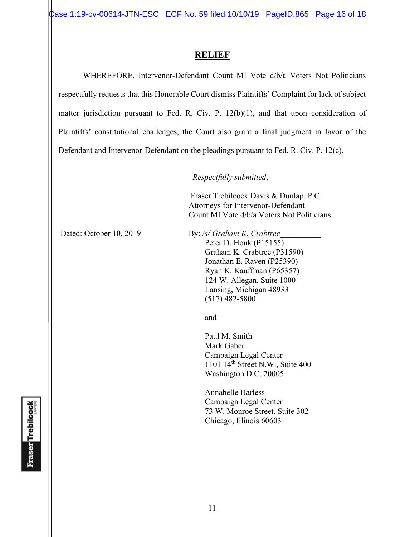Case 1:19-cv-00614-JTN-ESC ECF No. 59 filed 10/10/19 PageID.865 Page 16 of 18

## **RELIEF**

 WHEREFORE, Intervenor-Defendant Count MI Vote d/b/a Voters Not Politicians respectfully requests that this Honorable Court dismiss Plaintiffs' Complaint for lack of subject matter jurisdiction pursuant to Fed. R. Civ. P. 12(b)(1), and that upon consideration of Plaintiffs' constitutional challenges, the Court also grant a final judgment in favor of the Defendant and Intervenor-Defendant on the pleadings pursuant to Fed. R. Civ. P. 12(c).

*Respectfully submitted*,

 Fraser Trebilcock Davis & Dunlap, P.C. Attorneys for Intervenor-Defendant Count MI Vote d/b/a Voters Not Politicians

Dated: October 10, 2019 By: /s/ Graham K. Crabtree

Peter D. Houk (P15155) Graham K. Crabtree (P31590) Jonathan E. Raven (P25390) Ryan K. Kauffman (P65357) 124 W. Allegan, Suite 1000 Lansing, Michigan 48933 (517) 482-5800

and and state of the state of the state of the state of the state of the state of the state of the state of the state of the state of the state of the state of the state of the state of the state of the state of the state

 Paul M. Smith Mark Gaber Campaign Legal Center 1101 14th Street N.W., Suite 400 Washington D.C. 20005

Annabelle Harless Campaign Legal Center 73 W. Monroe Street, Suite 302 Chicago, Illinois 60603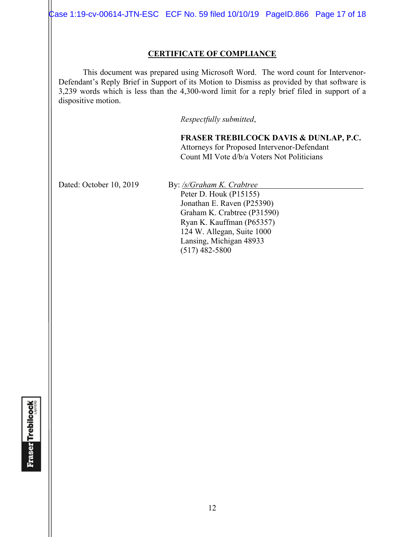Case 1:19-cv-00614-JTN-ESC ECF No. 59 filed 10/10/19 PageID.866 Page 17 of 18

### **CERTIFICATE OF COMPLIANCE**

 This document was prepared using Microsoft Word. The word count for Intervenor-Defendant's Reply Brief in Support of its Motion to Dismiss as provided by that software is 3,239 words which is less than the 4,300-word limit for a reply brief filed in support of a dispositive motion.

*Respectfully submitted*,

**FRASER TREBILCOCK DAVIS & DUNLAP, P.C.** Attorneys for Proposed Intervenor-Defendant Count MI Vote d/b/a Voters Not Politicians

Dated: October 10, 2019 By: /s/Graham K. Crabtree

Peter D. Houk (P15155) Jonathan E. Raven (P25390) Graham K. Crabtree (P31590) Ryan K. Kauffman (P65357) 124 W. Allegan, Suite 1000 Lansing, Michigan 48933 (517) 482-5800

**Fraser Trebilcock**